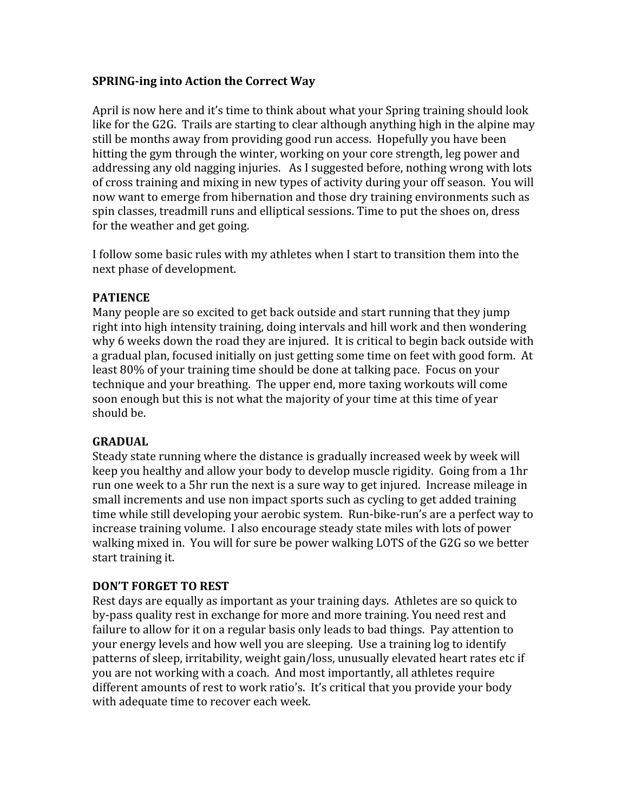## **SPRING-ing into Action the Correct Way**

April is now here and it's time to think about what your Spring training should look like for the G2G. Trails are starting to clear although anything high in the alpine may still
be
months
away
from
providing
good
run
access.

Hopefully
you
have
been hitting the gym through the winter, working on your core strength, leg power and addressing any old nagging injuries. As I suggested before, nothing wrong with lots of cross training and mixing in new types of activity during your off season. You will now
want
to
emerge
from
hibernation
and
those
dry
training
environments
such
as spin classes, treadmill runs and elliptical sessions. Time to put the shoes on, dress for
the
weather
and
get
going.

I follow some basic rules with my athletes when I start to transition them into the next
phase
of
development.

# **PATIENCE**

Many people are so excited to get back outside and start running that they jump right into high intensity training, doing intervals and hill work and then wondering why 6 weeks down the road they are injured. It is critical to begin back outside with a gradual plan, focused initially on just getting some time on feet with good form. At least 80% of your training time should be done at talking pace. Focus on your technique
and
your
breathing.

The
upper
end,
more
taxing
workouts
will
come soon
enough
but
this
is
not
what
the
majority
of
your
time
at
this
time
of
year should
be.

### **GRADUAL**

Steady state running where the distance is gradually increased week by week will keep vou healthy and allow your body to develop muscle rigidity. Going from a 1hr run one week to a 5hr run the next is a sure way to get injured. Increase mileage in small
increments
and
use
non
impact
sports
such
as
cycling
to
get
added
training time while still developing your aerobic system. Run-bike-run's are a perfect way to increase
training
volume.

I
also
encourage
steady
state
miles
with
lots
of
power walking mixed in. You will for sure be power walking LOTS of the G2G so we better start
training
it.

### **DON'T
FORGET
TO
REST**

Rest days are equally as important as your training days. Athletes are so quick to by‐pass
quality
rest
in
exchange
for
more
and
more
training.
You
need
rest
and failure to allow for it on a regular basis only leads to bad things. Pay attention to your
energy
levels
and
how
well
you
are
sleeping.

Use
a
training
log
to
identify patterns
of
sleep,
irritability,
weight
gain/loss,
unusually
elevated
heart
rates
etc
if you
are
not
working
with
a
coach.

And
most
importantly,
all
athletes
require different amounts of rest to work ratio's. It's critical that you provide your body with adequate time to recover each week.